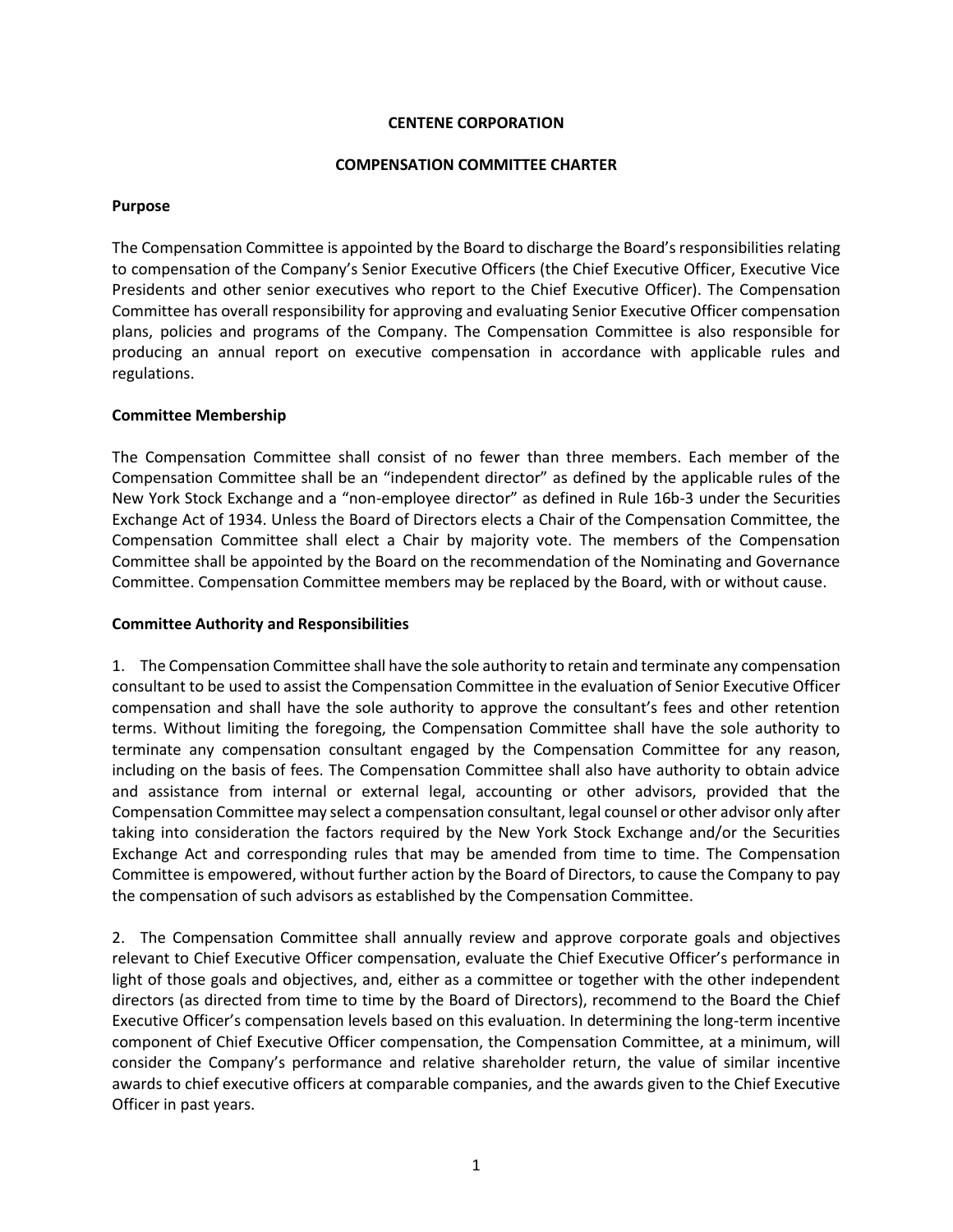## **CENTENE CORPORATION**

#### **COMPENSATION COMMITTEE CHARTER**

#### **Purpose**

The Compensation Committee is appointed by the Board to discharge the Board's responsibilities relating to compensation of the Company's Senior Executive Officers (the Chief Executive Officer, Executive Vice Presidents and other senior executives who report to the Chief Executive Officer). The Compensation Committee has overall responsibility for approving and evaluating Senior Executive Officer compensation plans, policies and programs of the Company. The Compensation Committee is also responsible for producing an annual report on executive compensation in accordance with applicable rules and regulations.

# **Committee Membership**

The Compensation Committee shall consist of no fewer than three members. Each member of the Compensation Committee shall be an "independent director" as defined by the applicable rules of the New York Stock Exchange and a "non-employee director" as defined in Rule 16b-3 under the Securities Exchange Act of 1934. Unless the Board of Directors elects a Chair of the Compensation Committee, the Compensation Committee shall elect a Chair by majority vote. The members of the Compensation Committee shall be appointed by the Board on the recommendation of the Nominating and Governance Committee. Compensation Committee members may be replaced by the Board, with or without cause.

## **Committee Authority and Responsibilities**

1. The Compensation Committee shall have the sole authority to retain and terminate any compensation consultant to be used to assist the Compensation Committee in the evaluation of Senior Executive Officer compensation and shall have the sole authority to approve the consultant's fees and other retention terms. Without limiting the foregoing, the Compensation Committee shall have the sole authority to terminate any compensation consultant engaged by the Compensation Committee for any reason, including on the basis of fees. The Compensation Committee shall also have authority to obtain advice and assistance from internal or external legal, accounting or other advisors, provided that the Compensation Committee may select a compensation consultant, legal counsel or other advisor only after taking into consideration the factors required by the New York Stock Exchange and/or the Securities Exchange Act and corresponding rules that may be amended from time to time. The Compensation Committee is empowered, without further action by the Board of Directors, to cause the Company to pay the compensation of such advisors as established by the Compensation Committee.

2. The Compensation Committee shall annually review and approve corporate goals and objectives relevant to Chief Executive Officer compensation, evaluate the Chief Executive Officer's performance in light of those goals and objectives, and, either as a committee or together with the other independent directors (as directed from time to time by the Board of Directors), recommend to the Board the Chief Executive Officer's compensation levels based on this evaluation. In determining the long-term incentive component of Chief Executive Officer compensation, the Compensation Committee, at a minimum, will consider the Company's performance and relative shareholder return, the value of similar incentive awards to chief executive officers at comparable companies, and the awards given to the Chief Executive Officer in past years.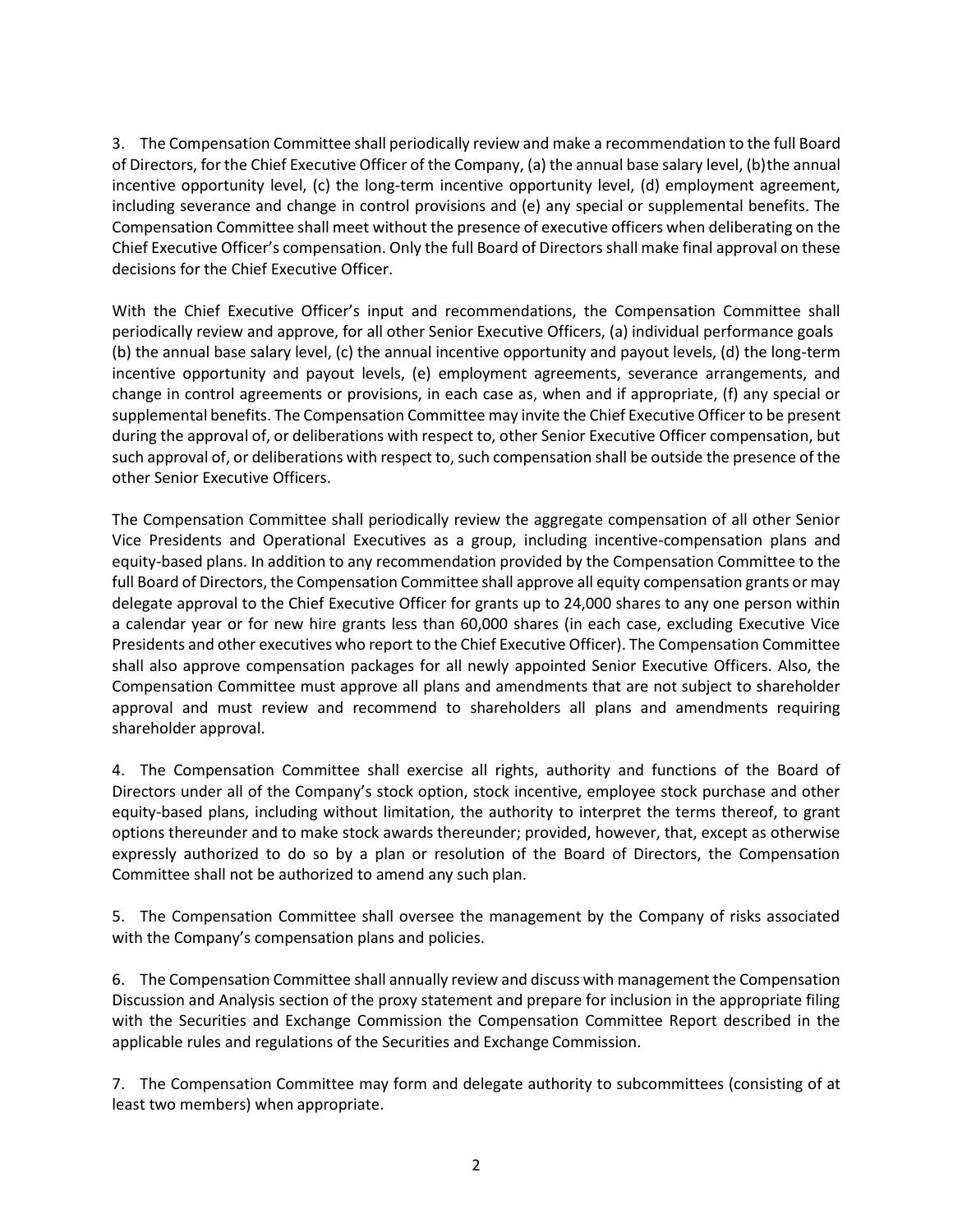3. The Compensation Committee shall periodically review and make a recommendation to the full Board of Directors, for the Chief Executive Officer of the Company, (a) the annual base salary level, (b) the annual incentive opportunity level, (c) the long-term incentive opportunity level, (d) employment agreement, including severance and change in control provisions and (e) any special or supplemental benefits. The Compensation Committee shall meet without the presence of executive officers when deliberating on the Chief Executive Officer's compensation. Only the full Board of Directors shall make final approval on these decisions for the Chief Executive Officer.

With the Chief Executive Officer's input and recommendations, the Compensation Committee shall periodically review and approve, for all other Senior Executive Officers, (a) individual performance goals (b) the annual base salary level, (c) the annual incentive opportunity and payout levels, (d) the long-term incentive opportunity and payout levels, (e) employment agreements, severance arrangements, and change in control agreements or provisions, in each case as, when and if appropriate, (f) any special or supplemental benefits. The Compensation Committee may invite the Chief Executive Officer to be present during the approval of, or deliberations with respect to, other Senior Executive Officer compensation, but such approval of, or deliberations with respect to, such compensation shall be outside the presence of the other Senior Executive Officers.

The Compensation Committee shall periodically review the aggregate compensation of all other Senior Vice Presidents and Operational Executives as a group, including incentive-compensation plans and equity-based plans. In addition to any recommendation provided by the Compensation Committee to the full Board of Directors, the Compensation Committee shall approve all equity compensation grants or may delegate approval to the Chief Executive Officer for grants up to 24,000 shares to any one person within a calendar year or for new hire grants less than 60,000 shares (in each case, excluding Executive Vice Presidents and other executives who report to the Chief Executive Officer). The Compensation Committee shall also approve compensation packages for all newly appointed Senior Executive Officers. Also, the Compensation Committee must approve all plans and amendments that are not subject to shareholder approval and must review and recommend to shareholders all plans and amendments requiring shareholder approval.

4. The Compensation Committee shall exercise all rights, authority and functions of the Board of Directors under all of the Company's stock option, stock incentive, employee stock purchase and other equity-based plans, including without limitation, the authority to interpret the terms thereof, to grant options thereunder and to make stock awards thereunder; provided, however, that, except as otherwise expressly authorized to do so by a plan or resolution of the Board of Directors, the Compensation Committee shall not be authorized to amend any such plan.

5. The Compensation Committee shall oversee the management by the Company of risks associated with the Company's compensation plans and policies.

6. The Compensation Committee shall annually review and discuss with management the Compensation Discussion and Analysis section of the proxy statement and prepare for inclusion in the appropriate filing with the Securities and Exchange Commission the Compensation Committee Report described in the applicable rules and regulations of the Securities and Exchange Commission.

7. The Compensation Committee may form and delegate authority to subcommittees (consisting of at least two members) when appropriate.